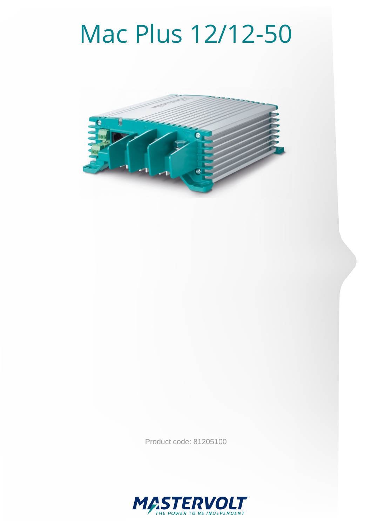# Mac Plus 12/12-50



Product code: 81205100

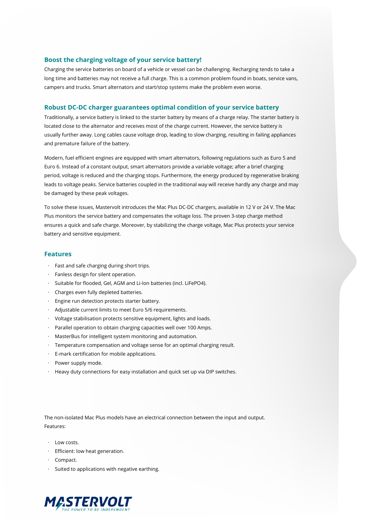#### **Boost the charging voltage of your service battery!**

Charging the service batteries on board of a vehicle or vessel can be challenging. Recharging tends to take a long time and batteries may not receive a full charge. This is a common problem found in boats, service vans, campers and trucks. Smart alternators and start/stop systems make the problem even worse.

#### **Robust DC-DC charger guarantees optimal condition of your service battery**

Traditionally, a service battery is linked to the starter battery by means of a charge relay. The starter battery is located close to the alternator and receives most of the charge current. However, the service battery is usually further away. Long cables cause voltage drop, leading to slow charging, resulting in failing appliances and premature failure of the battery.

Modern, fuel efficient engines are equipped with smart alternators, following regulations such as Euro 5 and Euro 6. Instead of a constant output, smart alternators provide a variable voltage; after a brief charging period, voltage is reduced and the charging stops. Furthermore, the energy produced by regenerative braking leads to voltage peaks. Service batteries coupled in the traditional way will receive hardly any charge and may be damaged by these peak voltages.

To solve these issues, Mastervolt introduces the Mac Plus DC-DC chargers, available in 12 V or 24 V. The Mac Plus monitors the service battery and compensates the voltage loss. The proven 3-step charge method ensures a quick and safe charge. Moreover, by stabilizing the charge voltage, Mac Plus protects your service battery and sensitive equipment.

#### **Features**

- · Fast and safe charging during short trips.
- · Fanless design for silent operation.
- · Suitable for flooded, Gel, AGM and Li-Ion batteries (incl. LiFePO4).
- · Charges even fully depleted batteries.
- · Engine run detection protects starter battery.
- · Adjustable current limits to meet Euro 5/6 requirements.
- · Voltage stabilisation protects sensitive equipment, lights and loads.
- · Parallel operation to obtain charging capacities well over 100 Amps.
- · MasterBus for intelligent system monitoring and automation.
- · Temperature compensation and voltage sense for an optimal charging result.
- · E-mark certification for mobile applications.
- · Power supply mode.
- · Heavy duty connections for easy installation and quick set up via DIP switches.

The non-isolated Mac Plus models have an electrical connection between the input and output. Features:

- · Low costs.
- · Efficient: low heat generation.
- · Compact.
- · Suited to applications with negative earthing.

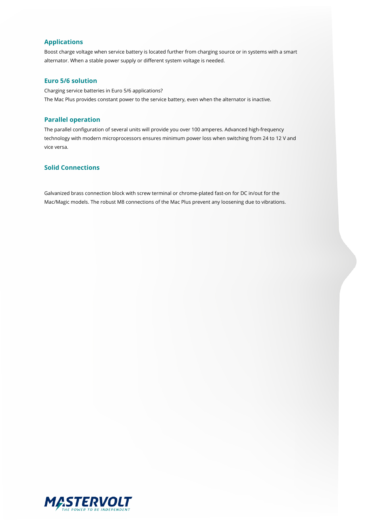### **Applications**

Boost charge voltage when service battery is located further from charging source or in systems with a smart alternator. When a stable power supply or different system voltage is needed.

#### **Euro 5/6 solution**

Charging service batteries in Euro 5/6 applications? The Mac Plus provides constant power to the service battery, even when the alternator is inactive.

#### **Parallel operation**

The parallel configuration of several units will provide you over 100 amperes. Advanced high-frequency technology with modern microprocessors ensures minimum power loss when switching from 24 to 12 V and vice versa.

## **Solid Connections**

Galvanized brass connection block with screw terminal or chrome-plated fast-on for DC in/out for the Mac/Magic models. The robust M8 connections of the Mac Plus prevent any loosening due to vibrations.